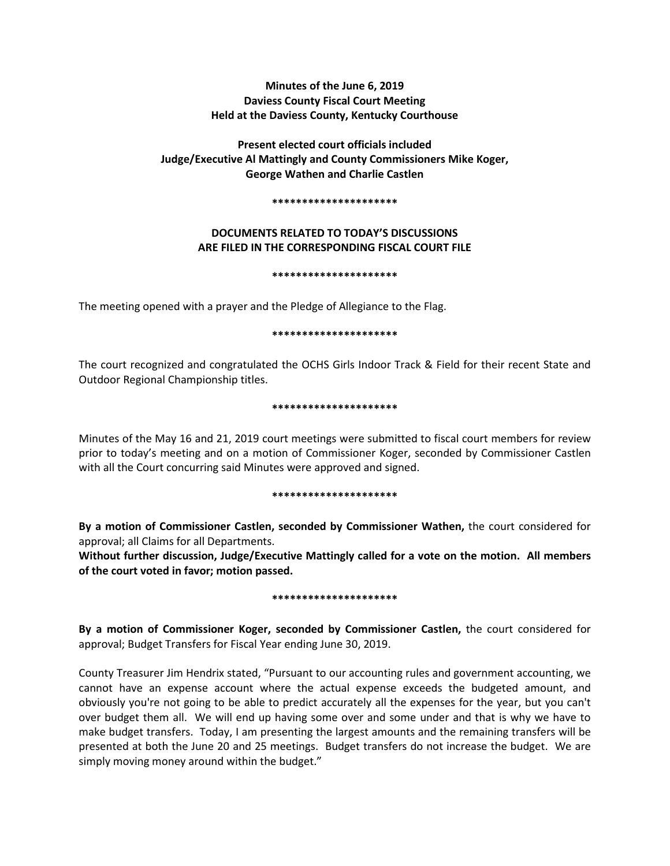# **Minutes of the June 6, 2019 Daviess County Fiscal Court Meeting Held at the Daviess County, Kentucky Courthouse**

# **Present elected court officials included Judge/Executive Al Mattingly and County Commissioners Mike Koger, George Wathen and Charlie Castlen**

#### **\*\*\*\*\*\*\*\*\*\*\*\*\*\*\*\*\*\*\*\*\***

## **DOCUMENTS RELATED TO TODAY'S DISCUSSIONS ARE FILED IN THE CORRESPONDING FISCAL COURT FILE**

#### **\*\*\*\*\*\*\*\*\*\*\*\*\*\*\*\*\*\*\*\*\***

The meeting opened with a prayer and the Pledge of Allegiance to the Flag.

### **\*\*\*\*\*\*\*\*\*\*\*\*\*\*\*\*\*\*\*\*\***

The court recognized and congratulated the OCHS Girls Indoor Track & Field for their recent State and Outdoor Regional Championship titles.

### **\*\*\*\*\*\*\*\*\*\*\*\*\*\*\*\*\*\*\*\*\***

Minutes of the May 16 and 21, 2019 court meetings were submitted to fiscal court members for review prior to today's meeting and on a motion of Commissioner Koger, seconded by Commissioner Castlen with all the Court concurring said Minutes were approved and signed.

#### **\*\*\*\*\*\*\*\*\*\*\*\*\*\*\*\*\*\*\*\*\***

**By a motion of Commissioner Castlen, seconded by Commissioner Wathen,** the court considered for approval; all Claims for all Departments.

**Without further discussion, Judge/Executive Mattingly called for a vote on the motion. All members of the court voted in favor; motion passed.** 

#### **\*\*\*\*\*\*\*\*\*\*\*\*\*\*\*\*\*\*\*\*\***

**By a motion of Commissioner Koger, seconded by Commissioner Castlen,** the court considered for approval; Budget Transfers for Fiscal Year ending June 30, 2019.

County Treasurer Jim Hendrix stated, "Pursuant to our accounting rules and government accounting, we cannot have an expense account where the actual expense exceeds the budgeted amount, and obviously you're not going to be able to predict accurately all the expenses for the year, but you can't over budget them all. We will end up having some over and some under and that is why we have to make budget transfers. Today, I am presenting the largest amounts and the remaining transfers will be presented at both the June 20 and 25 meetings. Budget transfers do not increase the budget. We are simply moving money around within the budget."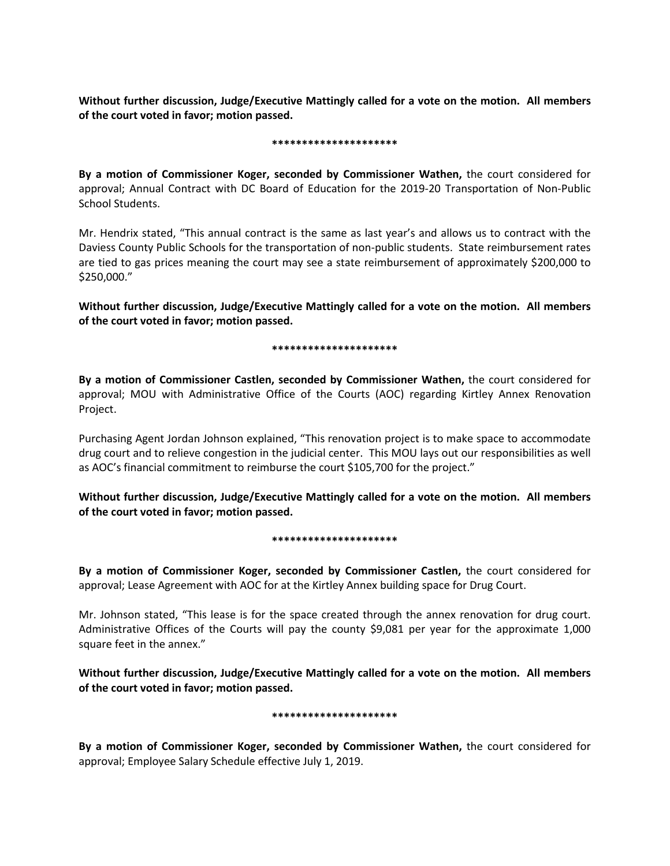**Without further discussion, Judge/Executive Mattingly called for a vote on the motion. All members of the court voted in favor; motion passed.** 

#### **\*\*\*\*\*\*\*\*\*\*\*\*\*\*\*\*\*\*\*\*\***

**By a motion of Commissioner Koger, seconded by Commissioner Wathen,** the court considered for approval; Annual Contract with DC Board of Education for the 2019-20 Transportation of Non-Public School Students.

Mr. Hendrix stated, "This annual contract is the same as last year's and allows us to contract with the Daviess County Public Schools for the transportation of non-public students. State reimbursement rates are tied to gas prices meaning the court may see a state reimbursement of approximately \$200,000 to \$250,000."

**Without further discussion, Judge/Executive Mattingly called for a vote on the motion. All members of the court voted in favor; motion passed.** 

#### **\*\*\*\*\*\*\*\*\*\*\*\*\*\*\*\*\*\*\*\*\***

**By a motion of Commissioner Castlen, seconded by Commissioner Wathen,** the court considered for approval; MOU with Administrative Office of the Courts (AOC) regarding Kirtley Annex Renovation Project.

Purchasing Agent Jordan Johnson explained, "This renovation project is to make space to accommodate drug court and to relieve congestion in the judicial center. This MOU lays out our responsibilities as well as AOC's financial commitment to reimburse the court \$105,700 for the project."

**Without further discussion, Judge/Executive Mattingly called for a vote on the motion. All members of the court voted in favor; motion passed.** 

#### **\*\*\*\*\*\*\*\*\*\*\*\*\*\*\*\*\*\*\*\*\***

**By a motion of Commissioner Koger, seconded by Commissioner Castlen,** the court considered for approval; Lease Agreement with AOC for at the Kirtley Annex building space for Drug Court.

Mr. Johnson stated, "This lease is for the space created through the annex renovation for drug court. Administrative Offices of the Courts will pay the county \$9,081 per year for the approximate 1,000 square feet in the annex."

**Without further discussion, Judge/Executive Mattingly called for a vote on the motion. All members of the court voted in favor; motion passed.** 

#### **\*\*\*\*\*\*\*\*\*\*\*\*\*\*\*\*\*\*\*\*\***

**By a motion of Commissioner Koger, seconded by Commissioner Wathen,** the court considered for approval; Employee Salary Schedule effective July 1, 2019.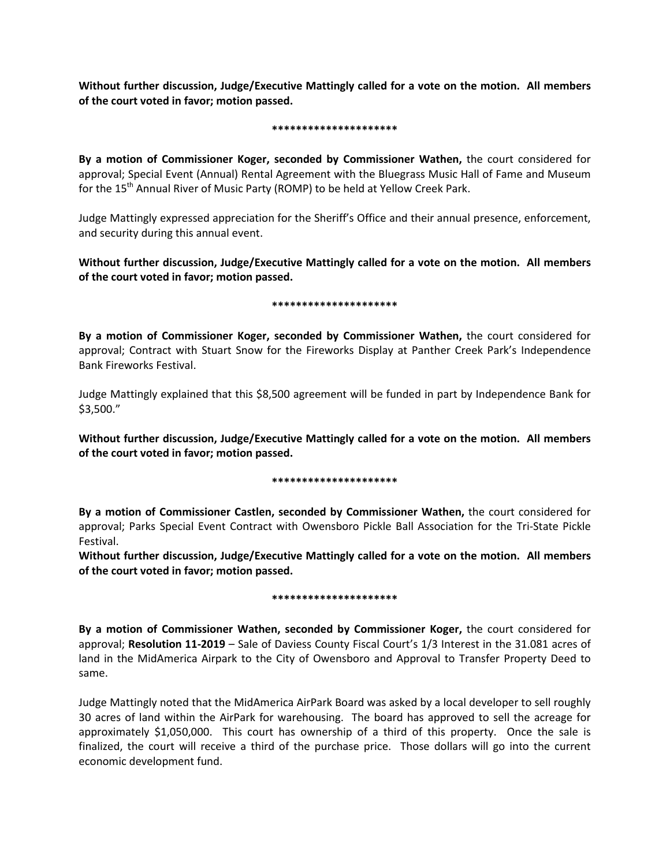**Without further discussion, Judge/Executive Mattingly called for a vote on the motion. All members of the court voted in favor; motion passed.** 

#### **\*\*\*\*\*\*\*\*\*\*\*\*\*\*\*\*\*\*\*\*\***

**By a motion of Commissioner Koger, seconded by Commissioner Wathen,** the court considered for approval; Special Event (Annual) Rental Agreement with the Bluegrass Music Hall of Fame and Museum for the 15<sup>th</sup> Annual River of Music Party (ROMP) to be held at Yellow Creek Park.

Judge Mattingly expressed appreciation for the Sheriff's Office and their annual presence, enforcement, and security during this annual event.

**Without further discussion, Judge/Executive Mattingly called for a vote on the motion. All members of the court voted in favor; motion passed.** 

### **\*\*\*\*\*\*\*\*\*\*\*\*\*\*\*\*\*\*\*\*\***

**By a motion of Commissioner Koger, seconded by Commissioner Wathen,** the court considered for approval; Contract with Stuart Snow for the Fireworks Display at Panther Creek Park's Independence Bank Fireworks Festival.

Judge Mattingly explained that this \$8,500 agreement will be funded in part by Independence Bank for \$3,500."

**Without further discussion, Judge/Executive Mattingly called for a vote on the motion. All members of the court voted in favor; motion passed.** 

## **\*\*\*\*\*\*\*\*\*\*\*\*\*\*\*\*\*\*\*\*\***

**By a motion of Commissioner Castlen, seconded by Commissioner Wathen,** the court considered for approval; Parks Special Event Contract with Owensboro Pickle Ball Association for the Tri-State Pickle Festival.

**Without further discussion, Judge/Executive Mattingly called for a vote on the motion. All members of the court voted in favor; motion passed.** 

#### **\*\*\*\*\*\*\*\*\*\*\*\*\*\*\*\*\*\*\*\*\***

**By a motion of Commissioner Wathen, seconded by Commissioner Koger,** the court considered for approval; **Resolution 11-2019** – Sale of Daviess County Fiscal Court's 1/3 Interest in the 31.081 acres of land in the MidAmerica Airpark to the City of Owensboro and Approval to Transfer Property Deed to same.

Judge Mattingly noted that the MidAmerica AirPark Board was asked by a local developer to sell roughly 30 acres of land within the AirPark for warehousing. The board has approved to sell the acreage for approximately \$1,050,000. This court has ownership of a third of this property. Once the sale is finalized, the court will receive a third of the purchase price. Those dollars will go into the current economic development fund.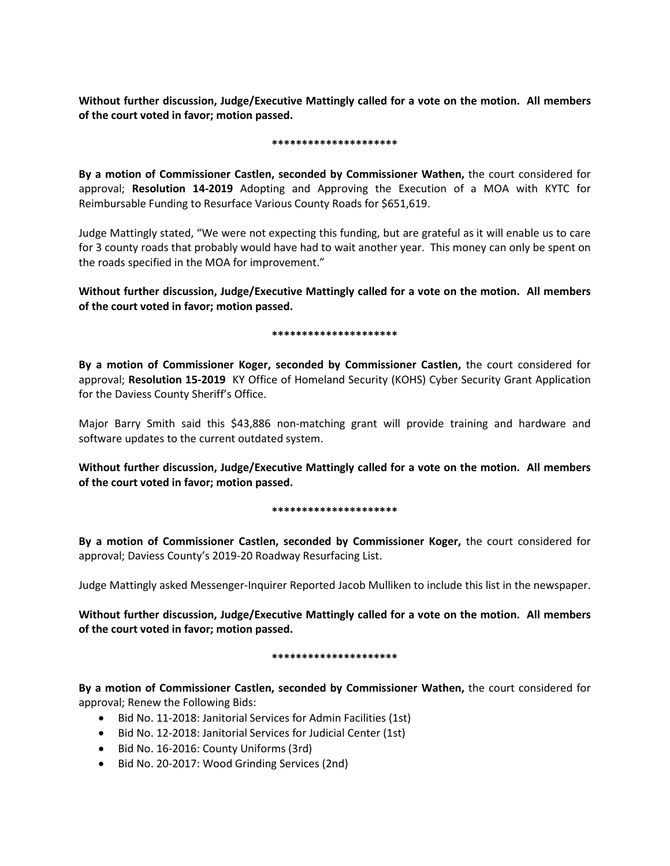**Without further discussion, Judge/Executive Mattingly called for a vote on the motion. All members of the court voted in favor; motion passed.** 

#### **\*\*\*\*\*\*\*\*\*\*\*\*\*\*\*\*\*\*\*\*\***

**By a motion of Commissioner Castlen, seconded by Commissioner Wathen,** the court considered for approval; **Resolution 14-2019** Adopting and Approving the Execution of a MOA with KYTC for Reimbursable Funding to Resurface Various County Roads for \$651,619.

Judge Mattingly stated, "We were not expecting this funding, but are grateful as it will enable us to care for 3 county roads that probably would have had to wait another year. This money can only be spent on the roads specified in the MOA for improvement."

**Without further discussion, Judge/Executive Mattingly called for a vote on the motion. All members of the court voted in favor; motion passed.** 

### **\*\*\*\*\*\*\*\*\*\*\*\*\*\*\*\*\*\*\*\*\***

**By a motion of Commissioner Koger, seconded by Commissioner Castlen,** the court considered for approval; **Resolution 15-2019** KY Office of Homeland Security (KOHS) Cyber Security Grant Application for the Daviess County Sheriff's Office.

Major Barry Smith said this \$43,886 non-matching grant will provide training and hardware and software updates to the current outdated system.

**Without further discussion, Judge/Executive Mattingly called for a vote on the motion. All members of the court voted in favor; motion passed.** 

## **\*\*\*\*\*\*\*\*\*\*\*\*\*\*\*\*\*\*\*\*\***

**By a motion of Commissioner Castlen, seconded by Commissioner Koger,** the court considered for approval; Daviess County's 2019-20 Roadway Resurfacing List.

Judge Mattingly asked Messenger-Inquirer Reported Jacob Mulliken to include this list in the newspaper.

**Without further discussion, Judge/Executive Mattingly called for a vote on the motion. All members of the court voted in favor; motion passed.** 

## **\*\*\*\*\*\*\*\*\*\*\*\*\*\*\*\*\*\*\*\*\***

**By a motion of Commissioner Castlen, seconded by Commissioner Wathen,** the court considered for approval; Renew the Following Bids:

- Bid No. 11-2018: Janitorial Services for Admin Facilities (1st)
- Bid No. 12-2018: Janitorial Services for Judicial Center (1st)
- Bid No. 16-2016: County Uniforms (3rd)
- Bid No. 20-2017: Wood Grinding Services (2nd)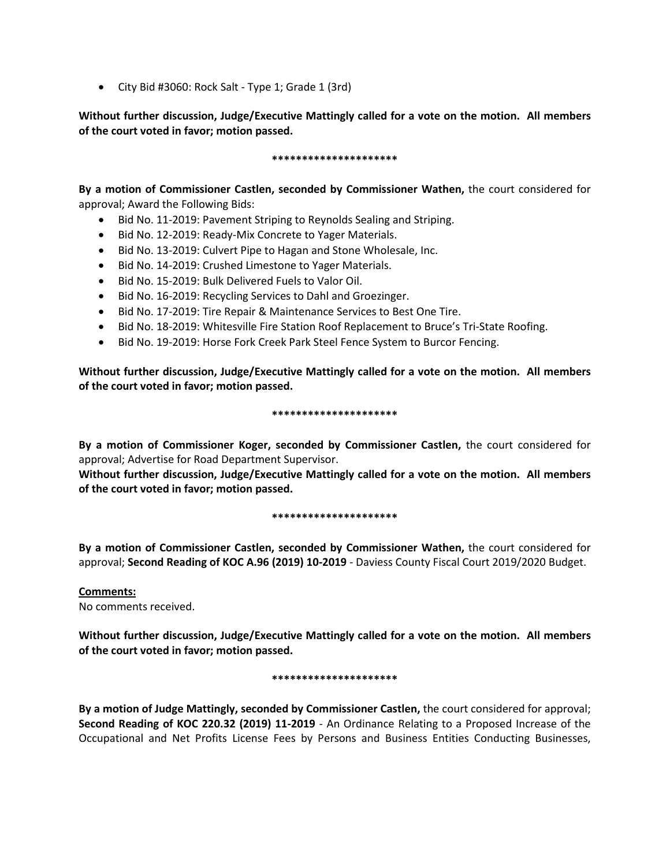• City Bid #3060: Rock Salt - Type 1; Grade 1 (3rd)

**Without further discussion, Judge/Executive Mattingly called for a vote on the motion. All members of the court voted in favor; motion passed.** 

### **\*\*\*\*\*\*\*\*\*\*\*\*\*\*\*\*\*\*\*\*\***

**By a motion of Commissioner Castlen, seconded by Commissioner Wathen,** the court considered for approval; Award the Following Bids:

- Bid No. 11-2019: Pavement Striping to Reynolds Sealing and Striping.
- Bid No. 12-2019: Ready-Mix Concrete to Yager Materials.
- Bid No. 13-2019: Culvert Pipe to Hagan and Stone Wholesale, Inc.
- Bid No. 14-2019: Crushed Limestone to Yager Materials.
- Bid No. 15-2019: Bulk Delivered Fuels to Valor Oil.
- Bid No. 16-2019: Recycling Services to Dahl and Groezinger.
- Bid No. 17-2019: Tire Repair & Maintenance Services to Best One Tire.
- Bid No. 18-2019: Whitesville Fire Station Roof Replacement to Bruce's Tri-State Roofing.
- Bid No. 19-2019: Horse Fork Creek Park Steel Fence System to Burcor Fencing.

**Without further discussion, Judge/Executive Mattingly called for a vote on the motion. All members of the court voted in favor; motion passed.** 

## **\*\*\*\*\*\*\*\*\*\*\*\*\*\*\*\*\*\*\*\*\***

**By a motion of Commissioner Koger, seconded by Commissioner Castlen,** the court considered for approval; Advertise for Road Department Supervisor.

**Without further discussion, Judge/Executive Mattingly called for a vote on the motion. All members of the court voted in favor; motion passed.** 

## **\*\*\*\*\*\*\*\*\*\*\*\*\*\*\*\*\*\*\*\*\***

**By a motion of Commissioner Castlen, seconded by Commissioner Wathen,** the court considered for approval; **Second Reading of KOC A.96 (2019) 10-2019** - Daviess County Fiscal Court 2019/2020 Budget.

**Comments:** No comments received.

**Without further discussion, Judge/Executive Mattingly called for a vote on the motion. All members of the court voted in favor; motion passed.** 

## **\*\*\*\*\*\*\*\*\*\*\*\*\*\*\*\*\*\*\*\*\***

**By a motion of Judge Mattingly, seconded by Commissioner Castlen,** the court considered for approval; **Second Reading of KOC 220.32 (2019) 11-2019** - An Ordinance Relating to a Proposed Increase of the Occupational and Net Profits License Fees by Persons and Business Entities Conducting Businesses,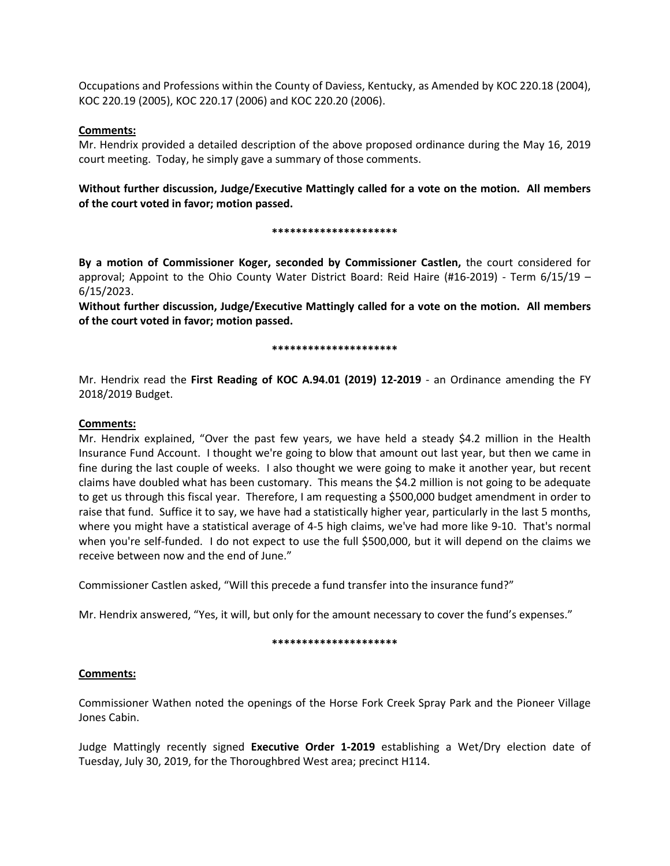Occupations and Professions within the County of Daviess, Kentucky, as Amended by KOC 220.18 (2004), KOC 220.19 (2005), KOC 220.17 (2006) and KOC 220.20 (2006).

## **Comments:**

Mr. Hendrix provided a detailed description of the above proposed ordinance during the May 16, 2019 court meeting. Today, he simply gave a summary of those comments.

**Without further discussion, Judge/Executive Mattingly called for a vote on the motion. All members of the court voted in favor; motion passed.** 

### **\*\*\*\*\*\*\*\*\*\*\*\*\*\*\*\*\*\*\*\*\***

**By a motion of Commissioner Koger, seconded by Commissioner Castlen,** the court considered for approval; Appoint to the Ohio County Water District Board: Reid Haire (#16-2019) - Term 6/15/19 – 6/15/2023.

**Without further discussion, Judge/Executive Mattingly called for a vote on the motion. All members of the court voted in favor; motion passed.** 

### **\*\*\*\*\*\*\*\*\*\*\*\*\*\*\*\*\*\*\*\*\***

Mr. Hendrix read the **First Reading of KOC A.94.01 (2019) 12-2019** - an Ordinance amending the FY 2018/2019 Budget.

## **Comments:**

Mr. Hendrix explained, "Over the past few years, we have held a steady \$4.2 million in the Health Insurance Fund Account. I thought we're going to blow that amount out last year, but then we came in fine during the last couple of weeks. I also thought we were going to make it another year, but recent claims have doubled what has been customary. This means the \$4.2 million is not going to be adequate to get us through this fiscal year. Therefore, I am requesting a \$500,000 budget amendment in order to raise that fund. Suffice it to say, we have had a statistically higher year, particularly in the last 5 months, where you might have a statistical average of 4-5 high claims, we've had more like 9-10. That's normal when you're self-funded. I do not expect to use the full \$500,000, but it will depend on the claims we receive between now and the end of June."

Commissioner Castlen asked, "Will this precede a fund transfer into the insurance fund?"

Mr. Hendrix answered, "Yes, it will, but only for the amount necessary to cover the fund's expenses."

#### **\*\*\*\*\*\*\*\*\*\*\*\*\*\*\*\*\*\*\*\*\***

## **Comments:**

Commissioner Wathen noted the openings of the Horse Fork Creek Spray Park and the Pioneer Village Jones Cabin.

Judge Mattingly recently signed **Executive Order 1-2019** establishing a Wet/Dry election date of Tuesday, July 30, 2019, for the Thoroughbred West area; precinct H114.